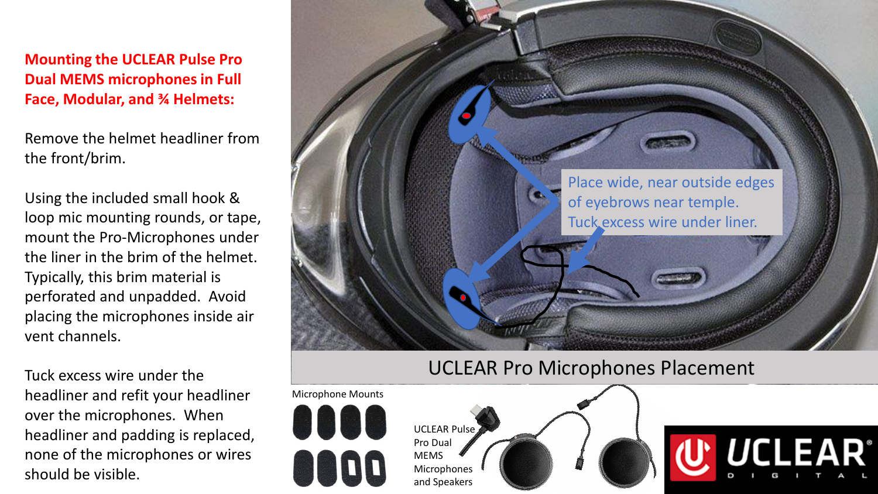**Mounting the UCLEAR Pulse Pro Dual MEMS microphones in Full Face, Modular, and ¾ Helmets:**

Remove the helmet headliner from the front/brim.

Using the included small hook & loop mic mounting rounds, or tape, mount the Pro-Microphones under the liner in the brim of the helmet. Typically, this brim material is perforated and unpadded. Avoid placing the microphones inside air vent channels.

Tuck excess wire under the headliner and refit your headliner over the microphones. When headliner and padding is replaced, none of the microphones or wires should be visible.



## UCLEAR Pro Microphones Placement

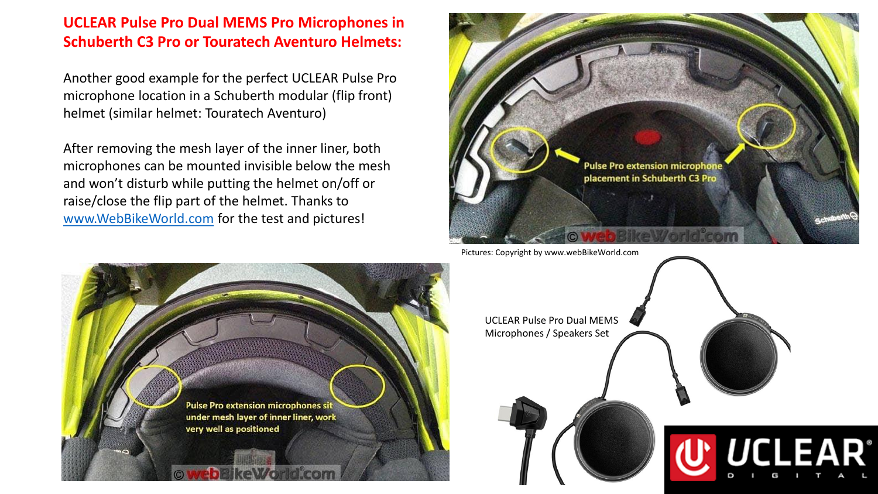## **UCLEAR Pulse Pro Dual MEMS Pro Microphones in Schuberth C3 Pro or Touratech Aventuro Helmets:**

Another good example for the perfect UCLEAR Pulse Pro microphone location in a Schuberth modular (flip front) helmet (similar helmet: Touratech Aventuro)

After removing the mesh layer of the inner liner, both microphones can be mounted invisible below the mesh and won't disturb while putting the helmet on/off or raise/close the flip part of the helmet. Thanks to [www.WebBikeWorld.com](http://www.webbikeworld.com/) for the test and pictures!